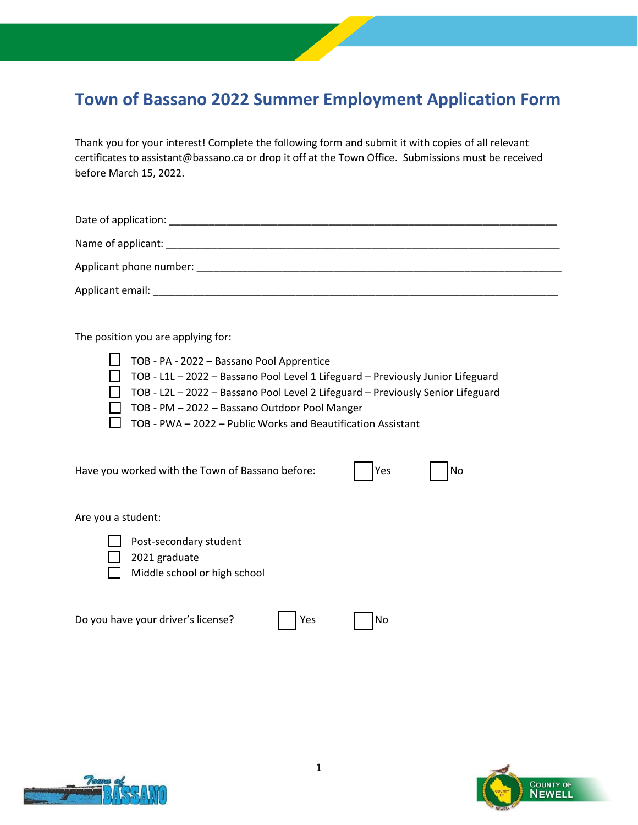## **Town of Bassano 2022 Summer Employment Application Form**

Thank you for your interest! Complete the following form and submit it with copies of all relevant certificates to assistant@bassano.ca or drop it off at the Town Office. Submissions must be received before March 15, 2022.

Date of application: \_\_\_\_\_\_\_\_\_\_\_\_\_\_\_\_\_\_\_\_\_\_\_\_\_\_\_\_\_\_\_\_\_\_\_\_\_\_\_\_\_\_\_\_\_\_\_\_\_\_\_\_\_\_\_\_\_\_\_\_\_\_\_\_\_\_\_\_

Name of applicant: \_\_\_\_\_\_\_\_\_\_\_\_\_\_\_\_\_\_\_\_\_\_\_\_\_\_\_\_\_\_\_\_\_\_\_\_\_\_\_\_\_\_\_\_\_\_\_\_\_\_\_\_\_\_\_\_\_\_\_\_\_\_\_\_\_\_\_\_\_

Applicant phone number: \_\_\_\_\_\_\_\_\_\_\_\_\_\_\_\_\_\_\_\_\_\_\_\_\_\_\_\_\_\_\_\_\_\_\_\_\_\_\_\_\_\_\_\_\_\_\_\_\_\_\_\_\_\_\_\_\_\_\_\_\_\_\_\_

Applicant email: \_\_\_\_\_\_\_\_\_\_\_\_\_\_\_\_\_\_\_\_\_\_\_\_\_\_\_\_\_\_\_\_\_\_\_\_\_\_\_\_\_\_\_\_\_\_\_\_\_\_\_\_\_\_\_\_\_\_\_\_\_\_\_\_\_\_\_\_\_\_\_

The position you are applying for:

 $\Box$  TOB - PA - 2022 – Bassano Pool Apprentice TOB - L1L – 2022 – Bassano Pool Level 1 Lifeguard – Previously Junior Lifeguard TOB - L2L – 2022 – Bassano Pool Level 2 Lifeguard – Previously Senior Lifeguard  $\Box$  TOB - PM - 2022 - Bassano Outdoor Pool Manger  $\Box$  TOB - PWA – 2022 – Public Works and Beautification Assistant

Have you worked with the Town of Bassano before: Yes No

Are you a student:

- Post-secondary student
- 2021 graduate
- Middle school or high school

| Do you have your driver's license? | $\vert$   Yes | $\Box$ No |
|------------------------------------|---------------|-----------|



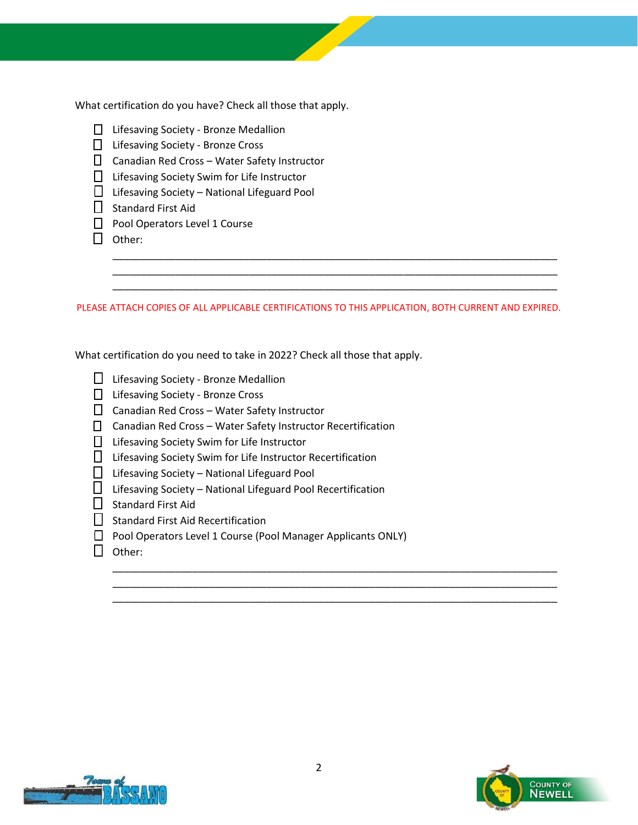What certification do you have? Check all those that apply.

- □ Lifesaving Society Bronze Medallion
- □ Lifesaving Society Bronze Cross
- $\Box$  Canadian Red Cross Water Safety Instructor
- □ Lifesaving Society Swim for Life Instructor
- $\Box$  Lifesaving Society National Lifeguard Pool
- $\Box$  Standard First Aid
- Pool Operators Level 1 Course
- $\Box$  Other:

PLEASE ATTACH COPIES OF ALL APPLICABLE CERTIFICATIONS TO THIS APPLICATION, BOTH CURRENT AND EXPIRED.

\_\_\_\_\_\_\_\_\_\_\_\_\_\_\_\_\_\_\_\_\_\_\_\_\_\_\_\_\_\_\_\_\_\_\_\_\_\_\_\_\_\_\_\_\_\_\_\_\_\_\_\_\_\_\_\_\_\_\_\_\_\_\_\_\_\_\_\_\_\_\_\_\_\_\_\_\_\_ \_\_\_\_\_\_\_\_\_\_\_\_\_\_\_\_\_\_\_\_\_\_\_\_\_\_\_\_\_\_\_\_\_\_\_\_\_\_\_\_\_\_\_\_\_\_\_\_\_\_\_\_\_\_\_\_\_\_\_\_\_\_\_\_\_\_\_\_\_\_\_\_\_\_\_\_\_\_ \_\_\_\_\_\_\_\_\_\_\_\_\_\_\_\_\_\_\_\_\_\_\_\_\_\_\_\_\_\_\_\_\_\_\_\_\_\_\_\_\_\_\_\_\_\_\_\_\_\_\_\_\_\_\_\_\_\_\_\_\_\_\_\_\_\_\_\_\_\_\_\_\_\_\_\_\_\_

What certification do you need to take in 2022? Check all those that apply.

- $\Box$  Lifesaving Society Bronze Medallion
- □ Lifesaving Society Bronze Cross
- $\Box$  Canadian Red Cross Water Safety Instructor
- $\Box$  Canadian Red Cross Water Safety Instructor Recertification
- □ Lifesaving Society Swim for Life Instructor
- □ Lifesaving Society Swim for Life Instructor Recertification
- $\Box$  Lifesaving Society National Lifeguard Pool
- $\Box$  Lifesaving Society National Lifeguard Pool Recertification
- $\Box$  Standard First Aid
- $\Box$  Standard First Aid Recertification
- □ Pool Operators Level 1 Course (Pool Manager Applicants ONLY)
- $\prod$  Other:





\_\_\_\_\_\_\_\_\_\_\_\_\_\_\_\_\_\_\_\_\_\_\_\_\_\_\_\_\_\_\_\_\_\_\_\_\_\_\_\_\_\_\_\_\_\_\_\_\_\_\_\_\_\_\_\_\_\_\_\_\_\_\_\_\_\_\_\_\_\_\_\_\_\_\_\_\_\_ \_\_\_\_\_\_\_\_\_\_\_\_\_\_\_\_\_\_\_\_\_\_\_\_\_\_\_\_\_\_\_\_\_\_\_\_\_\_\_\_\_\_\_\_\_\_\_\_\_\_\_\_\_\_\_\_\_\_\_\_\_\_\_\_\_\_\_\_\_\_\_\_\_\_\_\_\_\_ \_\_\_\_\_\_\_\_\_\_\_\_\_\_\_\_\_\_\_\_\_\_\_\_\_\_\_\_\_\_\_\_\_\_\_\_\_\_\_\_\_\_\_\_\_\_\_\_\_\_\_\_\_\_\_\_\_\_\_\_\_\_\_\_\_\_\_\_\_\_\_\_\_\_\_\_\_\_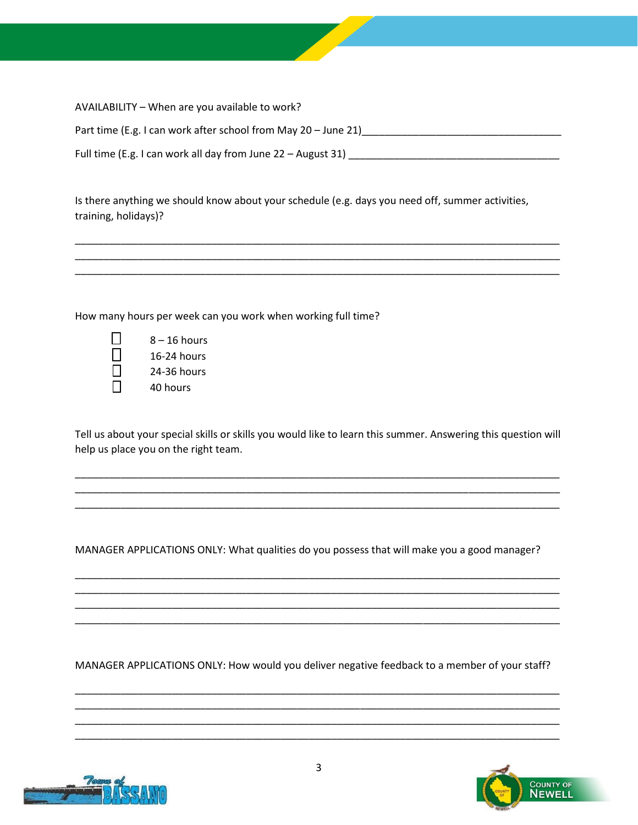| AVAILABILITY - When are you available to work?                 |
|----------------------------------------------------------------|
| Part time (E.g. I can work after school from May 20 - June 21) |
| Full time (E.g. I can work all day from June 22 – August 31)   |

Is there anything we should know about your schedule (e.g. days you need off, summer activities, training, holidays)?

\_\_\_\_\_\_\_\_\_\_\_\_\_\_\_\_\_\_\_\_\_\_\_\_\_\_\_\_\_\_\_\_\_\_\_\_\_\_\_\_\_\_\_\_\_\_\_\_\_\_\_\_\_\_\_\_\_\_\_\_\_\_\_\_\_\_\_\_\_\_\_\_\_\_\_\_\_\_\_\_\_\_\_\_\_ \_\_\_\_\_\_\_\_\_\_\_\_\_\_\_\_\_\_\_\_\_\_\_\_\_\_\_\_\_\_\_\_\_\_\_\_\_\_\_\_\_\_\_\_\_\_\_\_\_\_\_\_\_\_\_\_\_\_\_\_\_\_\_\_\_\_\_\_\_\_\_\_\_\_\_\_\_\_\_\_\_\_\_\_\_ \_\_\_\_\_\_\_\_\_\_\_\_\_\_\_\_\_\_\_\_\_\_\_\_\_\_\_\_\_\_\_\_\_\_\_\_\_\_\_\_\_\_\_\_\_\_\_\_\_\_\_\_\_\_\_\_\_\_\_\_\_\_\_\_\_\_\_\_\_\_\_\_\_\_\_\_\_\_\_\_\_\_\_\_\_

How many hours per week can you work when working full time?

| $\perp$ | $8 - 16$ hours |
|---------|----------------|
| $\perp$ | $16-24$ hours  |
| 1 I     | 24-36 hours    |
| ΙI      | 40 hours       |

Tell us about your special skills or skills you would like to learn this summer. Answering this question will help us place you on the right team.

\_\_\_\_\_\_\_\_\_\_\_\_\_\_\_\_\_\_\_\_\_\_\_\_\_\_\_\_\_\_\_\_\_\_\_\_\_\_\_\_\_\_\_\_\_\_\_\_\_\_\_\_\_\_\_\_\_\_\_\_\_\_\_\_\_\_\_\_\_\_\_\_\_\_\_\_\_\_\_\_\_\_\_\_\_ \_\_\_\_\_\_\_\_\_\_\_\_\_\_\_\_\_\_\_\_\_\_\_\_\_\_\_\_\_\_\_\_\_\_\_\_\_\_\_\_\_\_\_\_\_\_\_\_\_\_\_\_\_\_\_\_\_\_\_\_\_\_\_\_\_\_\_\_\_\_\_\_\_\_\_\_\_\_\_\_\_\_\_\_\_ \_\_\_\_\_\_\_\_\_\_\_\_\_\_\_\_\_\_\_\_\_\_\_\_\_\_\_\_\_\_\_\_\_\_\_\_\_\_\_\_\_\_\_\_\_\_\_\_\_\_\_\_\_\_\_\_\_\_\_\_\_\_\_\_\_\_\_\_\_\_\_\_\_\_\_\_\_\_\_\_\_\_\_\_\_

MANAGER APPLICATIONS ONLY: What qualities do you possess that will make you a good manager?

\_\_\_\_\_\_\_\_\_\_\_\_\_\_\_\_\_\_\_\_\_\_\_\_\_\_\_\_\_\_\_\_\_\_\_\_\_\_\_\_\_\_\_\_\_\_\_\_\_\_\_\_\_\_\_\_\_\_\_\_\_\_\_\_\_\_\_\_\_\_\_\_\_\_\_\_\_\_\_\_\_\_\_\_\_ \_\_\_\_\_\_\_\_\_\_\_\_\_\_\_\_\_\_\_\_\_\_\_\_\_\_\_\_\_\_\_\_\_\_\_\_\_\_\_\_\_\_\_\_\_\_\_\_\_\_\_\_\_\_\_\_\_\_\_\_\_\_\_\_\_\_\_\_\_\_\_\_\_\_\_\_\_\_\_\_\_\_\_\_\_ \_\_\_\_\_\_\_\_\_\_\_\_\_\_\_\_\_\_\_\_\_\_\_\_\_\_\_\_\_\_\_\_\_\_\_\_\_\_\_\_\_\_\_\_\_\_\_\_\_\_\_\_\_\_\_\_\_\_\_\_\_\_\_\_\_\_\_\_\_\_\_\_\_\_\_\_\_\_\_\_\_\_\_\_\_ \_\_\_\_\_\_\_\_\_\_\_\_\_\_\_\_\_\_\_\_\_\_\_\_\_\_\_\_\_\_\_\_\_\_\_\_\_\_\_\_\_\_\_\_\_\_\_\_\_\_\_\_\_\_\_\_\_\_\_\_\_\_\_\_\_\_\_\_\_\_\_\_\_\_\_\_\_\_\_\_\_\_\_\_\_

MANAGER APPLICATIONS ONLY: How would you deliver negative feedback to a member of your staff?

\_\_\_\_\_\_\_\_\_\_\_\_\_\_\_\_\_\_\_\_\_\_\_\_\_\_\_\_\_\_\_\_\_\_\_\_\_\_\_\_\_\_\_\_\_\_\_\_\_\_\_\_\_\_\_\_\_\_\_\_\_\_\_\_\_\_\_\_\_\_\_\_\_\_\_\_\_\_\_\_\_\_\_\_\_ \_\_\_\_\_\_\_\_\_\_\_\_\_\_\_\_\_\_\_\_\_\_\_\_\_\_\_\_\_\_\_\_\_\_\_\_\_\_\_\_\_\_\_\_\_\_\_\_\_\_\_\_\_\_\_\_\_\_\_\_\_\_\_\_\_\_\_\_\_\_\_\_\_\_\_\_\_\_\_\_\_\_\_\_\_ \_\_\_\_\_\_\_\_\_\_\_\_\_\_\_\_\_\_\_\_\_\_\_\_\_\_\_\_\_\_\_\_\_\_\_\_\_\_\_\_\_\_\_\_\_\_\_\_\_\_\_\_\_\_\_\_\_\_\_\_\_\_\_\_\_\_\_\_\_\_\_\_\_\_\_\_\_\_\_\_\_\_\_\_\_ \_\_\_\_\_\_\_\_\_\_\_\_\_\_\_\_\_\_\_\_\_\_\_\_\_\_\_\_\_\_\_\_\_\_\_\_\_\_\_\_\_\_\_\_\_\_\_\_\_\_\_\_\_\_\_\_\_\_\_\_\_\_\_\_\_\_\_\_\_\_\_\_\_\_\_\_\_\_\_\_\_\_\_\_\_



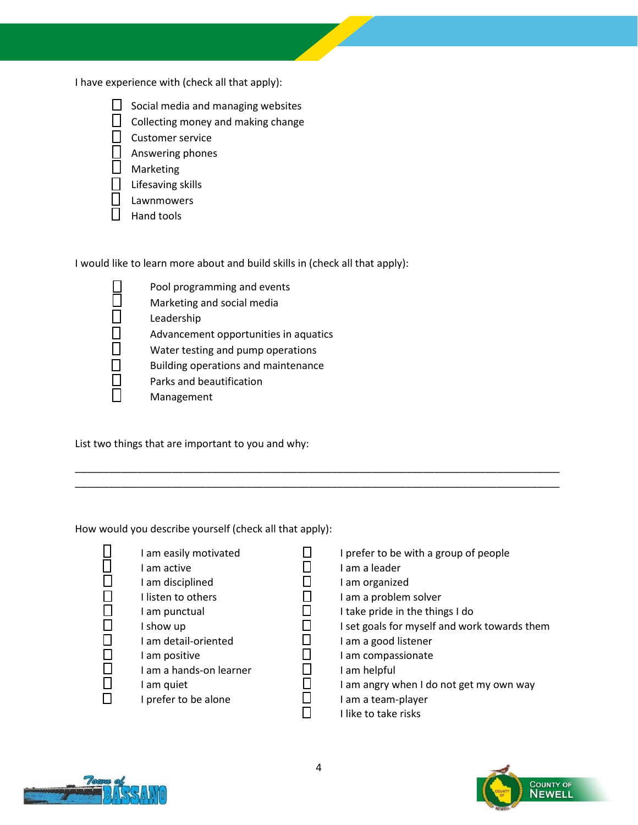I have experience with (check all that apply):



- $\Box$  Collecting money and making change
- Customer service
- Answering phones
- **D** Marketing
- $\Box$  Lifesaving skills
- Lawnmowers
- $\Box$  Hand tools

I would like to learn more about and build skills in (check all that apply):

 $\Box$  Pool programming and events  $\square$  Marketing and social media<br> $\square$  Leadership  $\Box$  Leadership<br> $\Box$  Advanceme  $\Box$  Advancement opportunities in aquatics<br> $\Box$  Water testing and pump operations  $\Box$  Water testing and pump operations<br> $\Box$  Building operations and maintenanc Building operations and maintenance  $\Box$  Parks and beautification Management

List two things that are important to you and why:

How would you describe yourself (check all that apply):

- 
- $\Box$  I am easily motivated<br> $\Box$  I am active I am active I am disciplined I listen to others I am punctual  $\Box$  I show up  $\Box$  I am detail-oriented I am positive  $\Box$  I am a hands-on learner  $\Box$  I am quiet  $\Box$  I prefer to be alone
- $\Box$  I prefer to be with a group of people
- $\Box$  I am a leader
- $\Box$  I am organized
- $\Box$  I am a problem solver
- $\Box$  I take pride in the things I do
- $\Box$  I set goals for myself and work towards them  $\Box$  I am a good listener
	- I am a good listener
- $\Box$  I am compassionate
- $\Box$  I am helpful<br> $\Box$  I am angry w
	- I am angry when I do not get my own way
- $\square$  I am a team-player<br> $\square$  I like to take risks
	- I like to take risks



\_\_\_\_\_\_\_\_\_\_\_\_\_\_\_\_\_\_\_\_\_\_\_\_\_\_\_\_\_\_\_\_\_\_\_\_\_\_\_\_\_\_\_\_\_\_\_\_\_\_\_\_\_\_\_\_\_\_\_\_\_\_\_\_\_\_\_\_\_\_\_\_\_\_\_\_\_\_\_\_\_\_\_\_\_ \_\_\_\_\_\_\_\_\_\_\_\_\_\_\_\_\_\_\_\_\_\_\_\_\_\_\_\_\_\_\_\_\_\_\_\_\_\_\_\_\_\_\_\_\_\_\_\_\_\_\_\_\_\_\_\_\_\_\_\_\_\_\_\_\_\_\_\_\_\_\_\_\_\_\_\_\_\_\_\_\_\_\_\_\_